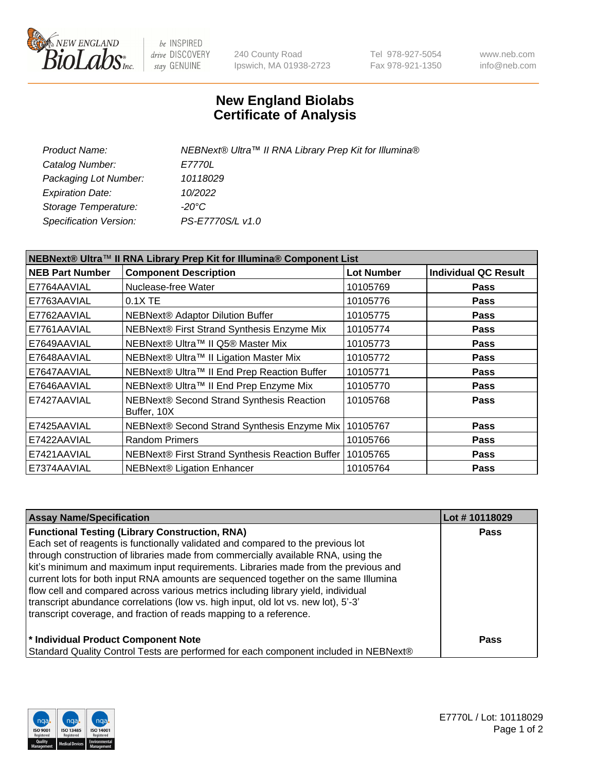

be INSPIRED drive DISCOVERY stay GENUINE

240 County Road Ipswich, MA 01938-2723 Tel 978-927-5054 Fax 978-921-1350 www.neb.com info@neb.com

## **New England Biolabs Certificate of Analysis**

| Product Name:           | NEBNext® Ultra™ II RNA Library Prep Kit for Illumina® |
|-------------------------|-------------------------------------------------------|
| Catalog Number:         | <i>E7770L</i>                                         |
| Packaging Lot Number:   | 10118029                                              |
| <b>Expiration Date:</b> | 10/2022                                               |
| Storage Temperature:    | -20°C                                                 |
| Specification Version:  | PS-E7770S/L v1.0                                      |
|                         |                                                       |

| NEBNext® Ultra™ II RNA Library Prep Kit for Illumina® Component List |                                                            |                   |                             |  |  |
|----------------------------------------------------------------------|------------------------------------------------------------|-------------------|-----------------------------|--|--|
| <b>NEB Part Number</b>                                               | <b>Component Description</b>                               | <b>Lot Number</b> | <b>Individual QC Result</b> |  |  |
| E7764AAVIAL                                                          | Nuclease-free Water                                        | 10105769          | <b>Pass</b>                 |  |  |
| E7763AAVIAL                                                          | $0.1X$ TE                                                  | 10105776          | <b>Pass</b>                 |  |  |
| E7762AAVIAL                                                          | <b>NEBNext® Adaptor Dilution Buffer</b>                    | 10105775          | <b>Pass</b>                 |  |  |
| E7761AAVIAL                                                          | NEBNext® First Strand Synthesis Enzyme Mix                 | 10105774          | <b>Pass</b>                 |  |  |
| E7649AAVIAL                                                          | NEBNext® Ultra™ II Q5® Master Mix                          | 10105773          | <b>Pass</b>                 |  |  |
| E7648AAVIAL                                                          | NEBNext® Ultra™ II Ligation Master Mix                     | 10105772          | <b>Pass</b>                 |  |  |
| E7647AAVIAL                                                          | NEBNext® Ultra™ II End Prep Reaction Buffer                | 10105771          | <b>Pass</b>                 |  |  |
| E7646AAVIAL                                                          | NEBNext® Ultra™ II End Prep Enzyme Mix                     | 10105770          | <b>Pass</b>                 |  |  |
| E7427AAVIAL                                                          | NEBNext® Second Strand Synthesis Reaction<br>Buffer, 10X   | 10105768          | <b>Pass</b>                 |  |  |
| E7425AAVIAL                                                          | NEBNext® Second Strand Synthesis Enzyme Mix   10105767     |                   | <b>Pass</b>                 |  |  |
| E7422AAVIAL                                                          | <b>Random Primers</b>                                      | 10105766          | <b>Pass</b>                 |  |  |
| E7421AAVIAL                                                          | NEBNext® First Strand Synthesis Reaction Buffer   10105765 |                   | <b>Pass</b>                 |  |  |
| E7374AAVIAL                                                          | NEBNext® Ligation Enhancer                                 | 10105764          | <b>Pass</b>                 |  |  |

| <b>Assay Name/Specification</b>                                                      | Lot #10118029 |
|--------------------------------------------------------------------------------------|---------------|
| <b>Functional Testing (Library Construction, RNA)</b>                                | <b>Pass</b>   |
| Each set of reagents is functionally validated and compared to the previous lot      |               |
| through construction of libraries made from commercially available RNA, using the    |               |
| kit's minimum and maximum input requirements. Libraries made from the previous and   |               |
| current lots for both input RNA amounts are sequenced together on the same Illumina  |               |
| flow cell and compared across various metrics including library yield, individual    |               |
| transcript abundance correlations (low vs. high input, old lot vs. new lot), 5'-3'   |               |
| transcript coverage, and fraction of reads mapping to a reference.                   |               |
| * Individual Product Component Note                                                  | <b>Pass</b>   |
| Standard Quality Control Tests are performed for each component included in NEBNext® |               |